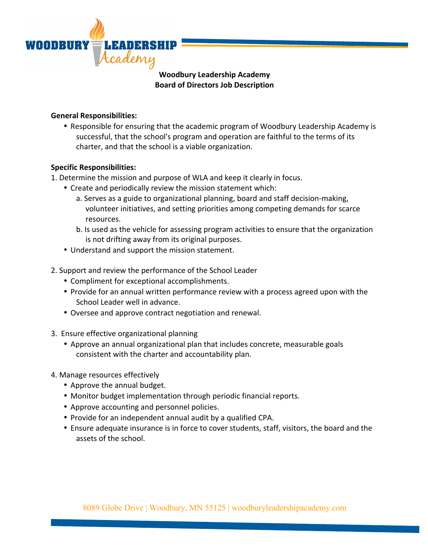

## **Woodbury Leadership Academy Board of Directors Job Description**

## **General Responsibilities:**

• Responsible for ensuring that the academic program of Woodbury Leadership Academy is successful, that the school's program and operation are faithful to the terms of its charter, and that the school is a viable organization.

## **Specific Responsibilities:**

- 1. Determine the mission and purpose of WLA and keep it clearly in focus.
	- Create and periodically review the mission statement which:
		- a. Serves as a guide to organizational planning, board and staff decision-making, volunteer initiatives, and setting priorities among competing demands for scarce resources.
		- b. Is used as the vehicle for assessing program activities to ensure that the organization is not drifting away from its original purposes.
	- Understand and support the mission statement.
- 2. Support and review the performance of the School Leader
	- Compliment for exceptional accomplishments.
	- Provide for an annual written performance review with a process agreed upon with the School Leader well in advance.
	- Oversee and approve contract negotiation and renewal.
- 3. Ensure effective organizational planning
	- Approve an annual organizational plan that includes concrete, measurable goals consistent with the charter and accountability plan.
- 4. Manage resources effectively
	- Approve the annual budget.
	- Monitor budget implementation through periodic financial reports.
	- Approve accounting and personnel policies.
	- Provide for an independent annual audit by a qualified CPA.
	- Ensure adequate insurance is in force to cover students, staff, visitors, the board and the assets of the school.